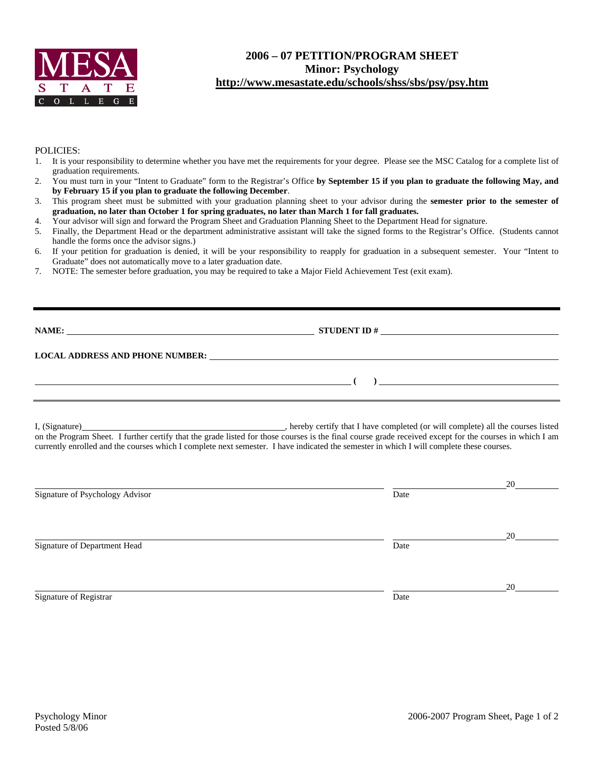

## **2006 – 07 PETITION/PROGRAM SHEET Minor: Psychology http://www.mesastate.edu/schools/shss/sbs/psy/psy.htm**

## POLICIES:

- 1. It is your responsibility to determine whether you have met the requirements for your degree. Please see the MSC Catalog for a complete list of graduation requirements.
- 2. You must turn in your "Intent to Graduate" form to the Registrar's Office **by September 15 if you plan to graduate the following May, and by February 15 if you plan to graduate the following December**.
- 3. This program sheet must be submitted with your graduation planning sheet to your advisor during the **semester prior to the semester of graduation, no later than October 1 for spring graduates, no later than March 1 for fall graduates.**
- 4. Your advisor will sign and forward the Program Sheet and Graduation Planning Sheet to the Department Head for signature.
- 5. Finally, the Department Head or the department administrative assistant will take the signed forms to the Registrar's Office. (Students cannot handle the forms once the advisor signs.)
- 6. If your petition for graduation is denied, it will be your responsibility to reapply for graduation in a subsequent semester. Your "Intent to Graduate" does not automatically move to a later graduation date.
- 7. NOTE: The semester before graduation, you may be required to take a Major Field Achievement Test (exit exam).

| NAME:                                  | <b>STUDENT ID#</b> | <u> 1989 - John Stein, Amerikaansk politiker (</u> |
|----------------------------------------|--------------------|----------------------------------------------------|
| <b>LOCAL ADDRESS AND PHONE NUMBER:</b> |                    |                                                    |
|                                        |                    |                                                    |

I, (Signature) **Source 2008** (Signature) **, hereby certify that I have completed** (or will complete) all the courses listed on the Program Sheet. I further certify that the grade listed for those courses is the final course grade received except for the courses in which I am currently enrolled and the courses which I complete next semester. I have indicated the semester in which I will complete these courses.

|                                 |      | 20 |
|---------------------------------|------|----|
| Signature of Psychology Advisor | Date |    |
|                                 |      | 20 |
| Signature of Department Head    | Date |    |
|                                 |      | 20 |
| Signature of Registrar          | Date |    |